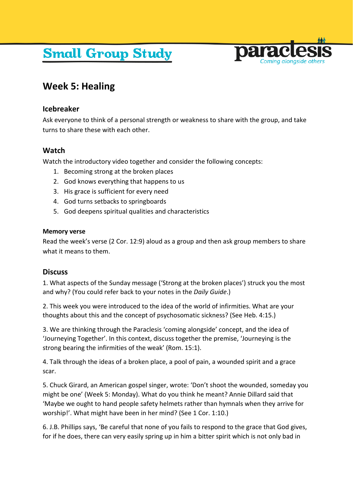# **Small Group Study**



# **Week 5: Healing**

### **Icebreaker**

Ask everyone to think of a personal strength or weakness to share with the group, and take turns to share these with each other.

## **Watch**

Watch the introductory video together and consider the following concepts:

- 1. Becoming strong at the broken places
- 2. God knows everything that happens to us
- 3. His grace is sufficient for every need
- 4. God turns setbacks to springboards
- 5. God deepens spiritual qualities and characteristics

#### **Memory verse**

Read the week's verse (2 Cor. 12:9) aloud as a group and then ask group members to share what it means to them.

#### **Discuss**

1. What aspects of the Sunday message ('Strong at the broken places') struck you the most and why? (You could refer back to your notes in the *Daily Guide*.)

2. This week you were introduced to the idea of the world of infirmities. What are your thoughts about this and the concept of psychosomatic sickness? (See Heb. 4:15.)

3. We are thinking through the Paraclesis 'coming alongside' concept, and the idea of 'Journeying Together'. In this context, discuss together the premise, 'Journeying is the strong bearing the infirmities of the weak' (Rom. 15:1).

4. Talk through the ideas of a broken place, a pool of pain, a wounded spirit and a grace scar.

5. Chuck Girard, an American gospel singer, wrote: 'Don't shoot the wounded, someday you might be one' (Week 5: Monday). What do you think he meant? Annie Dillard said that 'Maybe we ought to hand people safety helmets rather than hymnals when they arrive for worship!'. What might have been in her mind? (See 1 Cor. 1:10.)

6. J.B. Phillips says, 'Be careful that none of you fails to respond to the grace that God gives, for if he does, there can very easily spring up in him a bitter spirit which is not only bad in